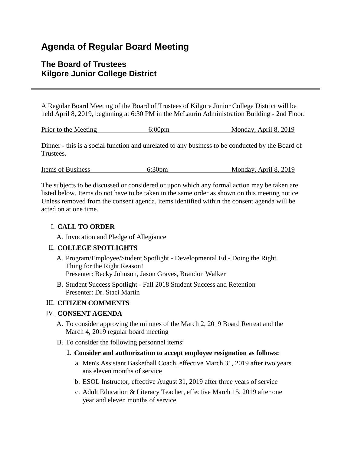# **Agenda of Regular Board Meeting**

## **The Board of Trustees Kilgore Junior College District**

A Regular Board Meeting of the Board of Trustees of Kilgore Junior College District will be held April 8, 2019, beginning at 6:30 PM in the McLaurin Administration Building - 2nd Floor.

| Prior to the Meeting | 6:00 <sub>pm</sub> | Monday, April 8, 2019 |
|----------------------|--------------------|-----------------------|
|                      |                    |                       |

Dinner - this is a social function and unrelated to any business to be conducted by the Board of Trustees.

| <b>Items of Business</b> | 6:30 <sub>pm</sub> | Monday, April 8, 2019 |
|--------------------------|--------------------|-----------------------|
|                          |                    |                       |

The subjects to be discussed or considered or upon which any formal action may be taken are listed below. Items do not have to be taken in the same order as shown on this meeting notice. Unless removed from the consent agenda, items identified within the consent agenda will be acted on at one time.

## I. **CALL TO ORDER**

A. Invocation and Pledge of Allegiance

## II. **COLLEGE SPOTLIGHTS**

- A. Program/Employee/Student Spotlight Developmental Ed Doing the Right Thing for the Right Reason! Presenter: Becky Johnson, Jason Graves, Brandon Walker
- B. Student Success Spotlight Fall 2018 Student Success and Retention Presenter: Dr. Staci Martin

## III. **CITIZEN COMMENTS**

## IV. **CONSENT AGENDA**

- A. To consider approving the minutes of the March 2, 2019 Board Retreat and the March 4, 2019 regular board meeting
- B. To consider the following personnel items:

## 1. **Consider and authorization to accept employee resignation as follows:**

- a. Men's Assistant Basketball Coach, effective March 31, 2019 after two years ans eleven months of service
- b. ESOL Instructor, effective August 31, 2019 after three years of service
- c. Adult Education & Literacy Teacher, effective March 15, 2019 after one year and eleven months of service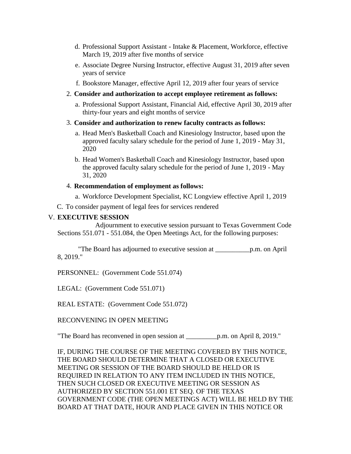- d. Professional Support Assistant Intake & Placement, Workforce, effective March 19, 2019 after five months of service
- e. Associate Degree Nursing Instructor, effective August 31, 2019 after seven years of service
- f. Bookstore Manager, effective April 12, 2019 after four years of service
- 2. **Consider and authorization to accept employee retirement as follows:**
	- a. Professional Support Assistant, Financial Aid, effective April 30, 2019 after thirty-four years and eight months of service
- 3. **Consider and authorization to renew faculty contracts as follows:**
	- a. Head Men's Basketball Coach and Kinesiology Instructor, based upon the approved faculty salary schedule for the period of June 1, 2019 - May 31, 2020
	- b. Head Women's Basketball Coach and Kinesiology Instructor, based upon the approved faculty salary schedule for the period of June 1, 2019 - May 31, 2020

#### 4. **Recommendation of employment as follows:**

- a. Workforce Development Specialist, KC Longview effective April 1, 2019
- C. To consider payment of legal fees for services rendered

#### V. **EXECUTIVE SESSION**

 Adjournment to executive session pursuant to Texas Government Code Sections 551.071 - 551.084, the Open Meetings Act, for the following purposes:

 "The Board has adjourned to executive session at \_\_\_\_\_\_\_\_\_\_p.m. on April 8, 2019."

PERSONNEL: (Government Code 551.074)

LEGAL: (Government Code 551.071)

REAL ESTATE: (Government Code 551.072)

RECONVENING IN OPEN MEETING

"The Board has reconvened in open session at \_\_\_\_\_\_\_\_\_p.m. on April 8, 2019."

IF, DURING THE COURSE OF THE MEETING COVERED BY THIS NOTICE, THE BOARD SHOULD DETERMINE THAT A CLOSED OR EXECUTIVE MEETING OR SESSION OF THE BOARD SHOULD BE HELD OR IS REQUIRED IN RELATION TO ANY ITEM INCLUDED IN THIS NOTICE, THEN SUCH CLOSED OR EXECUTIVE MEETING OR SESSION AS AUTHORIZED BY SECTION 551.001 ET SEQ. OF THE TEXAS GOVERNMENT CODE (THE OPEN MEETINGS ACT) WILL BE HELD BY THE BOARD AT THAT DATE, HOUR AND PLACE GIVEN IN THIS NOTICE OR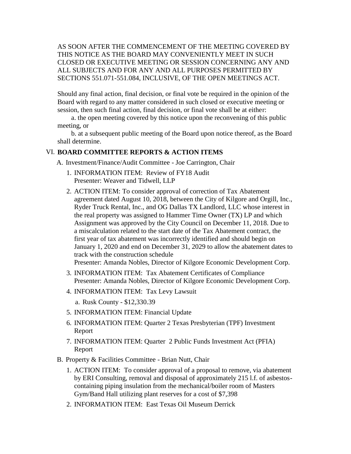AS SOON AFTER THE COMMENCEMENT OF THE MEETING COVERED BY THIS NOTICE AS THE BOARD MAY CONVENIENTLY MEET IN SUCH CLOSED OR EXECUTIVE MEETING OR SESSION CONCERNING ANY AND ALL SUBJECTS AND FOR ANY AND ALL PURPOSES PERMITTED BY SECTIONS 551.071-551.084, INCLUSIVE, OF THE OPEN MEETINGS ACT.

Should any final action, final decision, or final vote be required in the opinion of the Board with regard to any matter considered in such closed or executive meeting or session, then such final action, final decision, or final vote shall be at either:

 a. the open meeting covered by this notice upon the reconvening of this public meeting, or

 b. at a subsequent public meeting of the Board upon notice thereof, as the Board shall determine.

#### VI. **BOARD COMMITTEE REPORTS & ACTION ITEMS**

A. Investment/Finance/Audit Committee - Joe Carrington, Chair

- 1. INFORMATION ITEM: Review of FY18 Audit Presenter: Weaver and Tidwell, LLP
- 2. ACTION ITEM: To consider approval of correction of Tax Abatement agreement dated August 10, 2018, between the City of Kilgore and Orgill, Inc., Ryder Truck Rental, Inc., and OG Dallas TX Landlord, LLC whose interest in the real property was assigned to Hammer Time Owner (TX) LP and which Assignment was approved by the City Council on December 11, 2018. Due to a miscalculation related to the start date of the Tax Abatement contract, the first year of tax abatement was incorrectly identified and should begin on January 1, 2020 and end on December 31, 2029 to allow the abatement dates to track with the construction schedule

Presenter: Amanda Nobles, Director of Kilgore Economic Development Corp.

- 3. INFORMATION ITEM: Tax Abatement Certificates of Compliance Presenter: Amanda Nobles, Director of Kilgore Economic Development Corp.
- 4. INFORMATION ITEM: Tax Levy Lawsuit

a. Rusk County - \$12,330.39

- 5. INFORMATION ITEM: Financial Update
- 6. INFORMATION ITEM: Quarter 2 Texas Presbyterian (TPF) Investment Report
- 7. INFORMATION ITEM: Quarter 2 Public Funds Investment Act (PFIA) Report
- B. Property & Facilities Committee Brian Nutt, Chair
	- 1. ACTION ITEM: To consider approval of a proposal to remove, via abatement by ERI Consulting, removal and disposal of approximately 215 l.f. of asbestoscontaining piping insulation from the mechanical/boiler room of Masters Gym/Band Hall utilizing plant reserves for a cost of \$7,398
	- 2. INFORMATION ITEM: East Texas Oil Museum Derrick